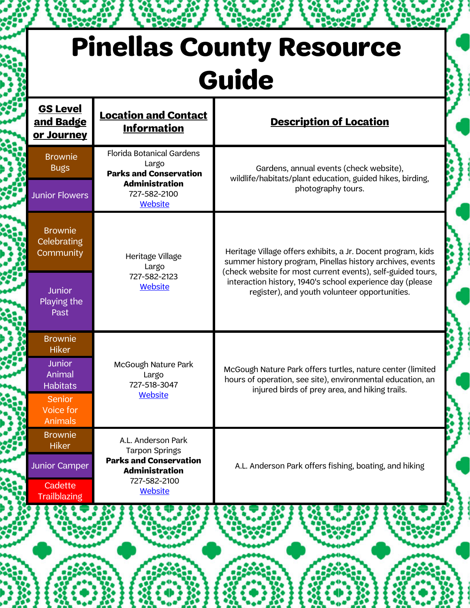## **Pinellas County Resource Guide**

| <b>GS Level</b><br><u>and Badge</u><br>or Journey | <b>Location and Contact</b><br><b>Information</b>                                                     | <b>Description of Location</b>                                                                                                                                                           |
|---------------------------------------------------|-------------------------------------------------------------------------------------------------------|------------------------------------------------------------------------------------------------------------------------------------------------------------------------------------------|
| <b>Brownie</b><br><b>Bugs</b>                     | <b>Florida Botanical Gardens</b><br>Largo<br><b>Parks and Conservation</b><br><b>Administration</b>   | Gardens, annual events (check website),<br>wildlife/habitats/plant education, guided hikes, birding,                                                                                     |
| <b>Junior Flowers</b>                             | 727-582-2100<br>Website                                                                               | photography tours.                                                                                                                                                                       |
| <b>Brownie</b><br><b>Celebrating</b><br>Community | Heritage Village<br>Largo                                                                             | Heritage Village offers exhibits, a Jr. Docent program, kids<br>summer history program, Pinellas history archives, events<br>(check website for most current events), self-guided tours, |
| Junior<br>Playing the<br>Past                     | 727-582-2123<br><b>Website</b>                                                                        | interaction history, 1940's school experience day (please<br>register), and youth volunteer opportunities.                                                                               |
| <b>Brownie</b><br><b>Hiker</b>                    |                                                                                                       |                                                                                                                                                                                          |
| <b>Junior</b><br>Animal<br><b>Habitats</b>        | McGough Nature Park<br>Largo<br>727-518-3047                                                          | McGough Nature Park offers turtles, nature center (limited<br>hours of operation, see site), environmental education, an<br>injured birds of prey area, and hiking trails.               |
| <b>Senior</b><br>Voice for<br>Animals             | <b>Website</b>                                                                                        |                                                                                                                                                                                          |
| <b>Brownie</b><br>Hiker                           | A.L. Anderson Park<br><b>Tarpon Springs</b><br><b>Parks and Conservation</b><br><b>Administration</b> |                                                                                                                                                                                          |
| <b>Junior Camper</b>                              |                                                                                                       | A.L. Anderson Park offers fishing, boating, and hiking                                                                                                                                   |
| Cadette<br><b>Trailblazing</b>                    | 727-582-2100<br><b>Website</b>                                                                        |                                                                                                                                                                                          |
|                                                   |                                                                                                       |                                                                                                                                                                                          |
|                                                   |                                                                                                       |                                                                                                                                                                                          |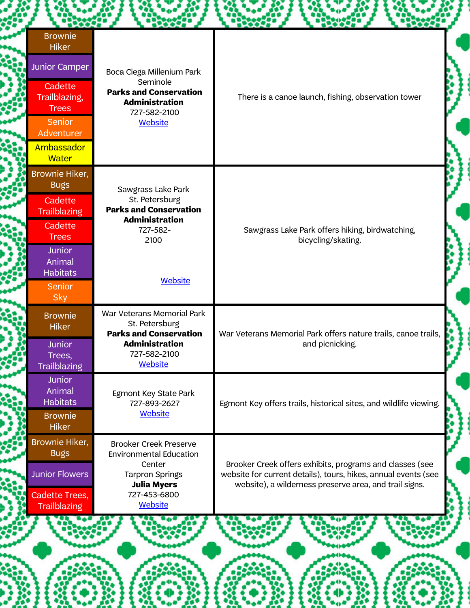| <b>Brownie</b><br><b>Hiker</b>             |                                                                               |                                                                                                                                                                                      |  |
|--------------------------------------------|-------------------------------------------------------------------------------|--------------------------------------------------------------------------------------------------------------------------------------------------------------------------------------|--|
| <b>Junior Camper</b>                       | Boca Ciega Millenium Park<br>Seminole                                         |                                                                                                                                                                                      |  |
| Cadette<br>Trailblazing,<br><b>Trees</b>   | <b>Parks and Conservation</b><br><b>Administration</b><br>727-582-2100        | There is a canoe launch, fishing, observation tower                                                                                                                                  |  |
| <b>Senior</b><br>Adventurer                | <b>Website</b>                                                                |                                                                                                                                                                                      |  |
| Ambassador<br><b>Water</b>                 |                                                                               |                                                                                                                                                                                      |  |
| Brownie Hiker,<br><b>Bugs</b>              | Sawgrass Lake Park                                                            |                                                                                                                                                                                      |  |
| Cadette<br><b>Trailblazing</b>             | St. Petersburg<br><b>Parks and Conservation</b><br><b>Administration</b>      |                                                                                                                                                                                      |  |
| Cadette<br><b>Trees</b>                    | 727-582-<br>2100                                                              | Sawgrass Lake Park offers hiking, birdwatching,<br>bicycling/skating.                                                                                                                |  |
| <b>Junior</b><br>Animal<br><b>Habitats</b> |                                                                               |                                                                                                                                                                                      |  |
| <b>Senior</b><br><b>Sky</b>                | <b>Website</b>                                                                |                                                                                                                                                                                      |  |
| <b>Brownie</b><br><b>Hiker</b>             | War Veterans Memorial Park<br>St. Petersburg<br><b>Parks and Conservation</b> | War Veterans Memorial Park offers nature trails, canoe trails,                                                                                                                       |  |
| <b>Junior</b><br>Trees,<br>Trailblazing    | <b>Administration</b><br>727-582-2100<br>Website                              | and picnicking.                                                                                                                                                                      |  |
| <b>Junior</b><br>Animal<br><b>Habitats</b> | Egmont Key State Park<br>727-893-2627                                         | Egmont Key offers trails, historical sites, and wildlife viewing.                                                                                                                    |  |
| <b>Brownie</b><br><b>Hiker</b>             | <b>Website</b>                                                                |                                                                                                                                                                                      |  |
| Brownie Hiker,<br><b>Bugs</b>              | <b>Brooker Creek Preserve</b><br><b>Environmental Education</b>               |                                                                                                                                                                                      |  |
| <b>Junior Flowers</b>                      | Center<br><b>Tarpron Springs</b><br><b>Julia Myers</b>                        | Brooker Creek offers exhibits, programs and classes (see<br>website for current details), tours, hikes, annual events (see<br>website), a wilderness preserve area, and trail signs. |  |
| Cadette Trees,<br><b>Trailblazing</b>      | 727-453-6800<br><b>Website</b>                                                |                                                                                                                                                                                      |  |
|                                            |                                                                               |                                                                                                                                                                                      |  |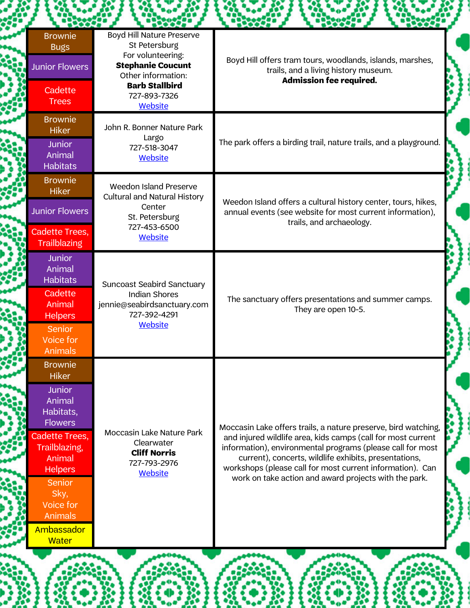| <b>Brownie</b><br><b>Bugs</b><br><b>Junior Flowers</b>                                                                                                                                                                                               | Boyd Hill Nature Preserve<br>St Petersburg<br>For volunteering:<br><b>Stephanie Coucunt</b><br>Other information:                     | Boyd Hill offers tram tours, woodlands, islands, marshes,<br>trails, and a living history museum.                                                                                                                                                                                                                                                                           |
|------------------------------------------------------------------------------------------------------------------------------------------------------------------------------------------------------------------------------------------------------|---------------------------------------------------------------------------------------------------------------------------------------|-----------------------------------------------------------------------------------------------------------------------------------------------------------------------------------------------------------------------------------------------------------------------------------------------------------------------------------------------------------------------------|
| Cadette<br><b>Trees</b>                                                                                                                                                                                                                              | <b>Barb Stallbird</b><br>727-893-7326<br><b>Website</b>                                                                               | <b>Admission fee required.</b>                                                                                                                                                                                                                                                                                                                                              |
| <b>Brownie</b><br><b>Hiker</b><br><b>Junior</b><br>Animal<br><b>Habitats</b>                                                                                                                                                                         | John R. Bonner Nature Park<br>Largo<br>727-518-3047<br><b>Website</b>                                                                 | The park offers a birding trail, nature trails, and a playground.                                                                                                                                                                                                                                                                                                           |
| <b>Brownie</b><br><b>Hiker</b><br><b>Junior Flowers</b><br><b>Cadette Trees,</b>                                                                                                                                                                     | Weedon Island Preserve<br><b>Cultural and Natural History</b><br>Center<br>St. Petersburg<br>727-453-6500                             | Weedon Island offers a cultural history center, tours, hikes,<br>annual events (see website for most current information),<br>trails, and archaeology.                                                                                                                                                                                                                      |
| <b>Trailblazing</b><br><b>Junior</b><br>Animal<br><b>Habitats</b><br>Cadette<br>Animal<br><b>Helpers</b><br><b>Senior</b><br><b>Voice for</b><br><b>Animals</b>                                                                                      | <b>Website</b><br><b>Suncoast Seabird Sanctuary</b><br><b>Indian Shores</b><br>jennie@seabirdsanctuary.com<br>727-392-4291<br>Website | The sanctuary offers presentations and summer camps.<br>They are open 10-5.                                                                                                                                                                                                                                                                                                 |
| <b>Brownie</b><br><b>Hiker</b><br><b>Junior</b><br>Animal<br>Habitats,<br><b>Flowers</b><br>Cadette Trees,<br>Trailblazing,<br>Animal<br><b>Helpers</b><br><b>Senior</b><br>Sky,<br>Voice for<br><b>Animals</b><br><b>Ambassador</b><br><b>Water</b> | <b>Moccasin Lake Nature Park</b><br>Clearwater<br><b>Cliff Norris</b><br>727-793-2976<br><b>Website</b>                               | Moccasin Lake offers trails, a nature preserve, bird watching,<br>and injured wildlife area, kids camps (call for most current<br>information), environmental programs (please call for most<br>current), concerts, wildlife exhibits, presentations,<br>workshops (please call for most current information). Can<br>work on take action and award projects with the park. |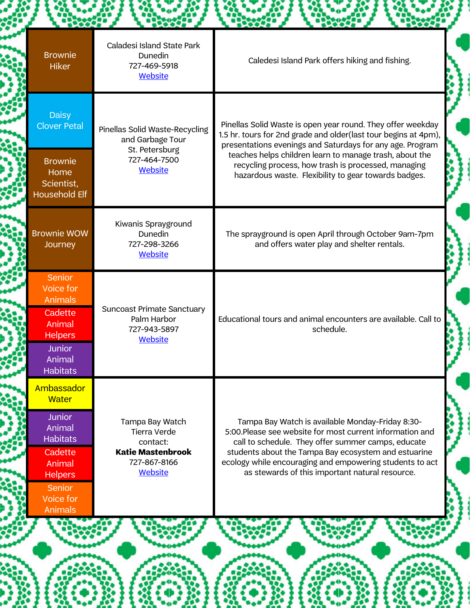| <b>Brownie</b><br><b>Hiker</b>                                                                                                                                  | Caladesi Island State Park<br>Dunedin<br>727-469-5918<br><b>Website</b>                                   | Caledesi Island Park offers hiking and fishing.                                                                                                                                                                                                                                                                                            |  |
|-----------------------------------------------------------------------------------------------------------------------------------------------------------------|-----------------------------------------------------------------------------------------------------------|--------------------------------------------------------------------------------------------------------------------------------------------------------------------------------------------------------------------------------------------------------------------------------------------------------------------------------------------|--|
| <b>Daisy</b><br><b>Clover Petal</b>                                                                                                                             | Pinellas Solid Waste-Recycling<br>and Garbage Tour<br>St. Petersburg                                      | Pinellas Solid Waste is open year round. They offer weekday<br>1.5 hr. tours for 2nd grade and older(last tour begins at 4pm),<br>presentations evenings and Saturdays for any age. Program                                                                                                                                                |  |
| <b>Brownie</b><br>Home<br>Scientist,<br><b>Household Elf</b>                                                                                                    | 727-464-7500<br>Website                                                                                   | teaches helps children learn to manage trash, about the<br>recycling process, how trash is processed, managing<br>hazardous waste. Flexibility to gear towards badges.                                                                                                                                                                     |  |
| <b>Brownie WOW</b><br>Journey                                                                                                                                   | Kiwanis Sprayground<br>Dunedin<br>727-298-3266<br><b>Website</b>                                          | The sprayground is open April through October 9am-7pm<br>and offers water play and shelter rentals.                                                                                                                                                                                                                                        |  |
| <b>Senior</b><br>Voice for<br>Animals<br>Cadette<br>Animal<br><b>Helpers</b>                                                                                    | <b>Suncoast Primate Sanctuary</b><br>Palm Harbor<br>727-943-5897                                          | Educational tours and animal encounters are available. Call to<br>schedule.                                                                                                                                                                                                                                                                |  |
| Junior<br>Animal<br>Habitats                                                                                                                                    | Website                                                                                                   |                                                                                                                                                                                                                                                                                                                                            |  |
| Ambassador<br><b>Water</b><br><b>Junior</b><br>Animal<br><b>Habitats</b><br>Cadette<br>Animal<br><b>Helpers</b><br><b>Senior</b><br>Voice for<br><b>Animals</b> | Tampa Bay Watch<br><b>Tierra Verde</b><br>contact:<br><b>Katie Mastenbrook</b><br>727-867-8166<br>Website | Tampa Bay Watch is available Monday-Friday 8:30-<br>5:00. Please see website for most current information and<br>call to schedule. They offer summer camps, educate<br>students about the Tampa Bay ecosystem and estuarine<br>ecology while encouraging and empowering students to act<br>as stewards of this important natural resource. |  |
|                                                                                                                                                                 |                                                                                                           |                                                                                                                                                                                                                                                                                                                                            |  |

H

總務

**Property** 

**Beautiful** 

**The Contract** 

**Bearing Co** 

鑿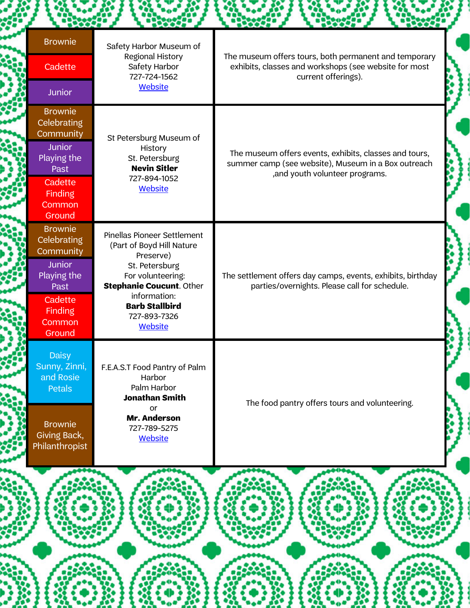| <b>Brownie</b>                  | Safety Harbor Museum of                                         | The museum offers tours, both permanent and temporary                                                                                            |  |
|---------------------------------|-----------------------------------------------------------------|--------------------------------------------------------------------------------------------------------------------------------------------------|--|
| Cadette                         | Regional History<br>Safety Harbor<br>727-724-1562               | exhibits, classes and workshops (see website for most<br>current offerings).                                                                     |  |
| Junior                          | <b>Website</b>                                                  |                                                                                                                                                  |  |
| <b>Brownie</b><br>Celebrating   |                                                                 |                                                                                                                                                  |  |
| Community<br><b>Junior</b>      | St Petersburg Museum of                                         |                                                                                                                                                  |  |
| Playing the<br>Past             | History<br>St. Petersburg<br><b>Nevin Sitler</b>                | The museum offers events, exhibits, classes and tours,<br>summer camp (see website), Museum in a Box outreach<br>, and youth volunteer programs. |  |
| Cadette<br><b>Finding</b>       | 727-894-1052<br>Website                                         |                                                                                                                                                  |  |
| <b>Common</b>                   |                                                                 |                                                                                                                                                  |  |
| Ground<br><b>Brownie</b>        |                                                                 |                                                                                                                                                  |  |
| <b>Celebrating</b>              | <b>Pinellas Pioneer Settlement</b><br>(Part of Boyd Hill Nature |                                                                                                                                                  |  |
| Community<br><b>Junior</b>      | Preserve)<br>St. Petersburg                                     |                                                                                                                                                  |  |
| Playing the<br>Past             | For volunteering:<br><b>Stephanie Coucunt. Other</b>            | The settlement offers day camps, events, exhibits, birthday<br>parties/overnights. Please call for schedule.                                     |  |
| Cadette                         | information:<br><b>Barb Stallbird</b>                           |                                                                                                                                                  |  |
| <b>Finding</b><br><b>Common</b> | 727-893-7326                                                    |                                                                                                                                                  |  |
| Ground                          | <b>Website</b>                                                  |                                                                                                                                                  |  |
| <b>Daisy</b><br>Sunny, Zinni.   | F.E.A.S.T Food Pantry of Palm                                   |                                                                                                                                                  |  |
| and Rosie                       | Harbor<br>Palm Harbor                                           | The food pantry offers tours and volunteering.                                                                                                   |  |
| Petals                          | <b>Jonathan Smith</b>                                           |                                                                                                                                                  |  |
| <b>Brownie</b>                  | or<br>Mr. Anderson                                              |                                                                                                                                                  |  |
| Giving Back,                    | 727-789-5275<br><b>Website</b>                                  |                                                                                                                                                  |  |
| Philanthropist                  |                                                                 |                                                                                                                                                  |  |

Š

B

ł

Ĩ,

J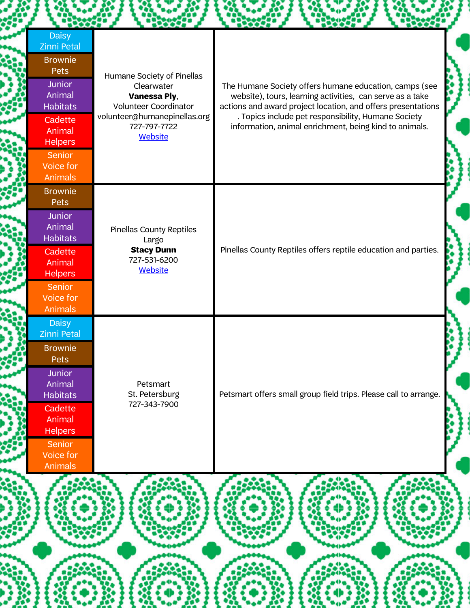| <b>Daisy</b><br><b>Zinni Petal</b><br><b>Brownie</b><br>Pets<br>Humane Society of Pinellas<br><b>Junior</b><br>Clearwater<br>The Humane Society offers humane education, camps (see<br>Animal<br><b>Vanessa Ply,</b><br>website), tours, learning activities, can serve as a take<br><b>Habitats</b><br>Volunteer Coordinator<br>actions and award project location, and offers presentations<br>volunteer@humanepinellas.org<br>. Topics include pet responsibility, Humane Society<br>Cadette<br>information, animal enrichment, being kind to animals.<br>727-797-7722<br>Animal<br><b>Website</b><br><b>Helpers</b><br>Senior<br>Voice for<br>Animals<br><b>Brownie</b><br>Pets<br><b>Junior</b><br>Animal<br><b>Pinellas County Reptiles</b><br><b>Habitats</b><br>Largo<br>Pinellas County Reptiles offers reptile education and parties.<br><b>Stacy Dunn</b><br>Cadette<br>727-531-6200<br>Animal<br><b>Website</b><br><b>Helpers</b><br>Senior<br>Voice for<br><b>Animals</b><br><b>Daisy</b><br><b>Zinni Petal</b><br><b>Brownie</b><br>Pets<br><b>Junior</b><br>Animal<br>Petsmart<br>Petsmart offers small group field trips. Please call to arrange.<br>St. Petersburg<br><b>Habitats</b><br>727-343-7900<br>Cadette<br>Animal<br><b>Helpers</b><br>Senior<br>Voice for |  |  |  |
|--------------------------------------------------------------------------------------------------------------------------------------------------------------------------------------------------------------------------------------------------------------------------------------------------------------------------------------------------------------------------------------------------------------------------------------------------------------------------------------------------------------------------------------------------------------------------------------------------------------------------------------------------------------------------------------------------------------------------------------------------------------------------------------------------------------------------------------------------------------------------------------------------------------------------------------------------------------------------------------------------------------------------------------------------------------------------------------------------------------------------------------------------------------------------------------------------------------------------------------------------------------------------------------|--|--|--|
|                                                                                                                                                                                                                                                                                                                                                                                                                                                                                                                                                                                                                                                                                                                                                                                                                                                                                                                                                                                                                                                                                                                                                                                                                                                                                      |  |  |  |
|                                                                                                                                                                                                                                                                                                                                                                                                                                                                                                                                                                                                                                                                                                                                                                                                                                                                                                                                                                                                                                                                                                                                                                                                                                                                                      |  |  |  |
| Animals                                                                                                                                                                                                                                                                                                                                                                                                                                                                                                                                                                                                                                                                                                                                                                                                                                                                                                                                                                                                                                                                                                                                                                                                                                                                              |  |  |  |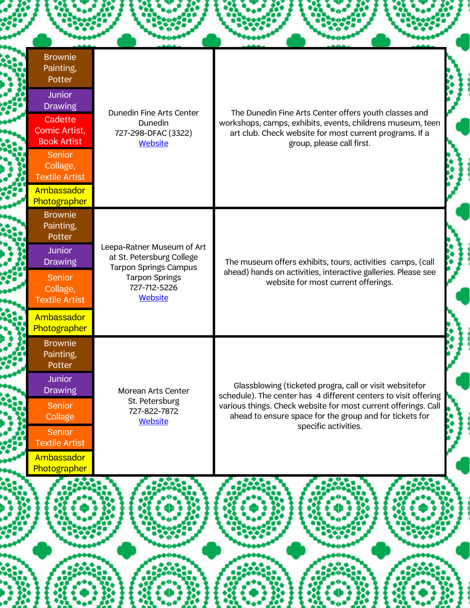| <b>Brownie</b><br>Painting,<br>Potter                                                                                                   |                                                                                                                                                    |                                                                                                                                                                                                                                                                                 |
|-----------------------------------------------------------------------------------------------------------------------------------------|----------------------------------------------------------------------------------------------------------------------------------------------------|---------------------------------------------------------------------------------------------------------------------------------------------------------------------------------------------------------------------------------------------------------------------------------|
| <b>Junior</b><br><b>Drawing</b><br>Cadette<br>Comic Artist,<br><b>Book Artist</b><br><b>Senior</b><br>Collage,<br><b>Textile Artist</b> | Dunedin Fine Arts Center<br>Dunedin<br>727-298-DFAC (3322)<br><b>Website</b>                                                                       | The Dunedin Fine Arts Center offers youth classes and<br>workshops, camps, exhibits, events, childrens museum, teen<br>art club. Check website for most current programs. If a<br>group, please call first.                                                                     |
| <b>Ambassador</b><br>Photographer                                                                                                       |                                                                                                                                                    |                                                                                                                                                                                                                                                                                 |
| <b>Brownie</b><br>Painting,<br>Potter                                                                                                   |                                                                                                                                                    |                                                                                                                                                                                                                                                                                 |
| <b>Junior</b><br><b>Drawing</b>                                                                                                         | Leepa-Ratner Museum of Art<br>at St. Petersburg College<br><b>Tarpon Springs Campus</b><br><b>Tarpon Springs</b><br>727-712-5226<br><b>Website</b> | The museum offers exhibits, tours, activities camps, (call<br>ahead) hands on activities, interactive galleries. Please see<br>website for most current offerings.                                                                                                              |
| Senior<br>Collage,<br><b>Textile Artist</b>                                                                                             |                                                                                                                                                    |                                                                                                                                                                                                                                                                                 |
| Ambassador<br>Photographer                                                                                                              |                                                                                                                                                    |                                                                                                                                                                                                                                                                                 |
| <b>Brownie</b><br>Painting,<br>Potter                                                                                                   |                                                                                                                                                    |                                                                                                                                                                                                                                                                                 |
| <b>Junior</b><br><b>Drawing</b>                                                                                                         | <b>Morean Arts Center</b>                                                                                                                          | Glassblowing (ticketed progra, call or visit websitefor<br>schedule). The center has 4 different centers to visit offering<br>various things. Check website for most current offerings. Call<br>ahead to ensure space for the group and for tickets for<br>specific activities. |
| Senior<br>Collage                                                                                                                       | St. Petersburg<br>727-822-7872<br><b>Website</b>                                                                                                   |                                                                                                                                                                                                                                                                                 |
| <b>Senior</b><br><b>Textile Artist</b>                                                                                                  |                                                                                                                                                    |                                                                                                                                                                                                                                                                                 |
| Ambassador                                                                                                                              |                                                                                                                                                    |                                                                                                                                                                                                                                                                                 |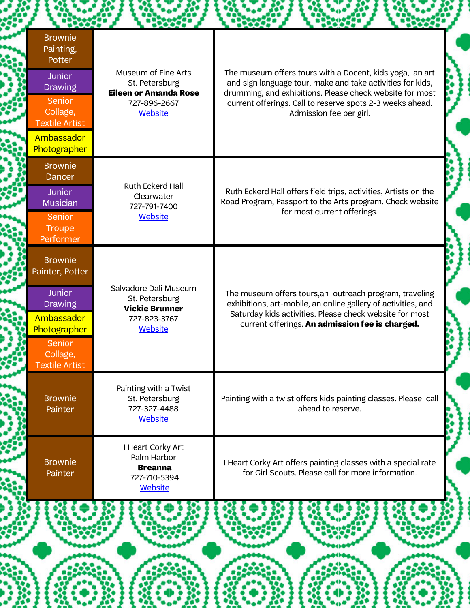|                                                                                                                                                              | $-120027$ |                                                                                                         | <b>Hoose</b><br><b>POXXX</b>                                                                                                                                                                                                                                               |
|--------------------------------------------------------------------------------------------------------------------------------------------------------------|-----------|---------------------------------------------------------------------------------------------------------|----------------------------------------------------------------------------------------------------------------------------------------------------------------------------------------------------------------------------------------------------------------------------|
| <b>Brownie</b><br>Painting,<br>Potter<br><b>Junior</b><br><b>Drawing</b><br><b>Senior</b><br>Collage,<br><b>Textile Artist</b><br>Ambassador<br>Photographer |           | Museum of Fine Arts<br>St. Petersburg<br><b>Eileen or Amanda Rose</b><br>727-896-2667<br><b>Website</b> | The museum offers tours with a Docent, kids yoga, an art<br>and sign language tour, make and take activities for kids,<br>drumming, and exhibitions. Please check website for most<br>current offerings. Call to reserve spots 2-3 weeks ahead.<br>Admission fee per girl. |
| <b>Brownie</b><br><b>Dancer</b><br><b>Junior</b><br><b>Musician</b><br><b>Senior</b><br><b>Troupe</b><br>Performer                                           |           | Ruth Eckerd Hall<br>Clearwater<br>727-791-7400<br><b>Website</b>                                        | Ruth Eckerd Hall offers field trips, activities, Artists on the<br>Road Program, Passport to the Arts program. Check website<br>for most current offerings.                                                                                                                |
| <b>Brownie</b><br>Painter, Potter<br><b>Junior</b><br><b>Drawing</b><br>Ambassador<br>Photographer<br>Senior<br>Collage,<br><b>Textile Artist</b>            |           | Salvadore Dali Museum<br>St. Petersburg<br><b>Vickie Brunner</b><br>727-823-3767<br><b>Website</b>      | The museum offers tours, an outreach program, traveling<br>exhibitions, art-mobile, an online gallery of activities, and<br>Saturday kids activities. Please check website for most<br>current offerings. An admission fee is charged.                                     |
| <b>Brownie</b><br>Painter                                                                                                                                    |           | Painting with a Twist<br>St. Petersburg<br>727-327-4488<br><b>Website</b>                               | Painting with a twist offers kids painting classes. Please call<br>ahead to reserve.                                                                                                                                                                                       |
| <b>Brownie</b><br>Painter                                                                                                                                    |           | I Heart Corky Art<br>Palm Harbor<br><b>Breanna</b><br>727-710-5394<br><b>Website</b>                    | I Heart Corky Art offers painting classes with a special rate<br>for Girl Scouts. Please call for more information.                                                                                                                                                        |
|                                                                                                                                                              |           |                                                                                                         |                                                                                                                                                                                                                                                                            |